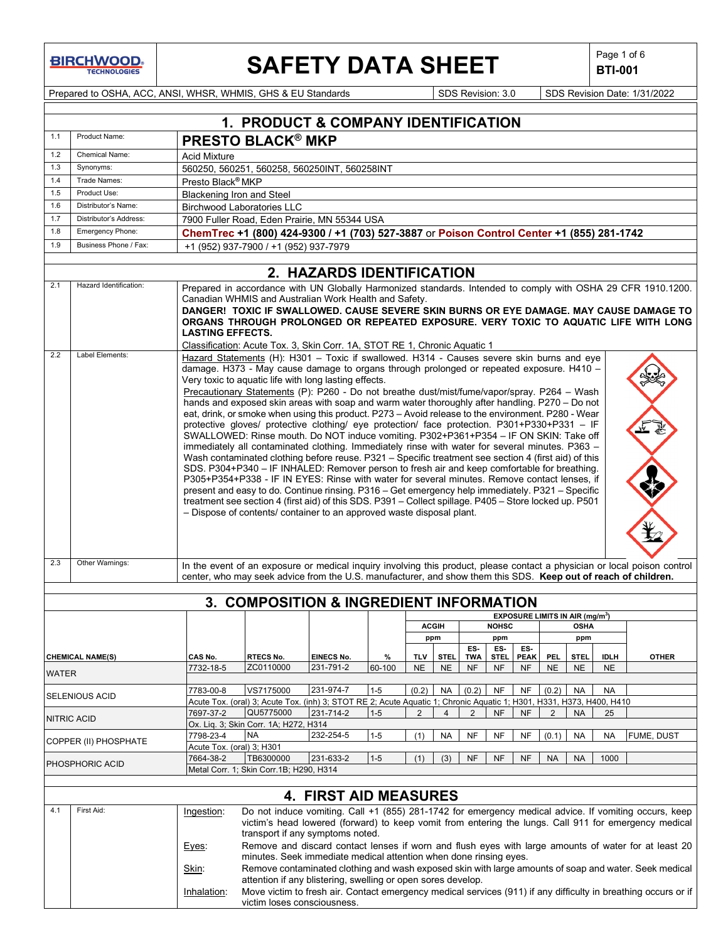# **SAFETY DATA SHEET**  $\left|\begin{array}{c} \text{Page 1 of 6} \\ \text{BIT-001} \end{array}\right|$

**BTI-001**

Prepared to OSHA, ACC, ANSI, WHSR, WHMIS, GHS & EU Standards Superinted SDS Revision: 3.0 SDS Revision Date: 1/31/2022

|              |                         |                           | <b>1. PRODUCT &amp; COMPANY IDENTIFICATION</b>                                                                                                                                        |                              |         |            |                |                |              |                                             |                |             |             |                                                                                                                                                                                                                |
|--------------|-------------------------|---------------------------|---------------------------------------------------------------------------------------------------------------------------------------------------------------------------------------|------------------------------|---------|------------|----------------|----------------|--------------|---------------------------------------------|----------------|-------------|-------------|----------------------------------------------------------------------------------------------------------------------------------------------------------------------------------------------------------------|
| 1.1          | Product Name:           |                           | <b>PRESTO BLACK® MKP</b>                                                                                                                                                              |                              |         |            |                |                |              |                                             |                |             |             |                                                                                                                                                                                                                |
| 1.2          | <b>Chemical Name:</b>   | <b>Acid Mixture</b>       |                                                                                                                                                                                       |                              |         |            |                |                |              |                                             |                |             |             |                                                                                                                                                                                                                |
| 1.3          | Synonyms:               |                           | 560250, 560251, 560258, 560250INT, 560258INT                                                                                                                                          |                              |         |            |                |                |              |                                             |                |             |             |                                                                                                                                                                                                                |
| 1.4          | Trade Names:            |                           | Presto Black® MKP                                                                                                                                                                     |                              |         |            |                |                |              |                                             |                |             |             |                                                                                                                                                                                                                |
| 1.5          | Product Use:            |                           | <b>Blackening Iron and Steel</b>                                                                                                                                                      |                              |         |            |                |                |              |                                             |                |             |             |                                                                                                                                                                                                                |
| 1.6          | Distributor's Name:     |                           | <b>Birchwood Laboratories LLC</b>                                                                                                                                                     |                              |         |            |                |                |              |                                             |                |             |             |                                                                                                                                                                                                                |
| 1.7          | Distributor's Address:  |                           | 7900 Fuller Road, Eden Prairie, MN 55344 USA                                                                                                                                          |                              |         |            |                |                |              |                                             |                |             |             |                                                                                                                                                                                                                |
| 1.8          | Emergency Phone:        |                           | ChemTrec +1 (800) 424-9300 / +1 (703) 527-3887 or Poison Control Center +1 (855) 281-1742                                                                                             |                              |         |            |                |                |              |                                             |                |             |             |                                                                                                                                                                                                                |
| 1.9          | Business Phone / Fax:   |                           | +1 (952) 937-7900 / +1 (952) 937-7979                                                                                                                                                 |                              |         |            |                |                |              |                                             |                |             |             |                                                                                                                                                                                                                |
|              |                         |                           |                                                                                                                                                                                       |                              |         |            |                |                |              |                                             |                |             |             |                                                                                                                                                                                                                |
|              |                         |                           |                                                                                                                                                                                       | 2. HAZARDS IDENTIFICATION    |         |            |                |                |              |                                             |                |             |             |                                                                                                                                                                                                                |
| 2.1          | Hazard Identification:  |                           |                                                                                                                                                                                       |                              |         |            |                |                |              |                                             |                |             |             | Prepared in accordance with UN Globally Harmonized standards. Intended to comply with OSHA 29 CFR 1910.1200.                                                                                                   |
|              |                         |                           | Canadian WHMIS and Australian Work Health and Safety.                                                                                                                                 |                              |         |            |                |                |              |                                             |                |             |             |                                                                                                                                                                                                                |
|              |                         |                           |                                                                                                                                                                                       |                              |         |            |                |                |              |                                             |                |             |             | DANGER! TOXIC IF SWALLOWED. CAUSE SEVERE SKIN BURNS OR EYE DAMAGE. MAY CAUSE DAMAGE TO                                                                                                                         |
|              |                         | <b>LASTING EFFECTS.</b>   |                                                                                                                                                                                       |                              |         |            |                |                |              |                                             |                |             |             | ORGANS THROUGH PROLONGED OR REPEATED EXPOSURE. VERY TOXIC TO AQUATIC LIFE WITH LONG                                                                                                                            |
|              |                         |                           | Classification: Acute Tox. 3, Skin Corr. 1A, STOT RE 1, Chronic Aquatic 1                                                                                                             |                              |         |            |                |                |              |                                             |                |             |             |                                                                                                                                                                                                                |
| 2.2          | Label Elements:         |                           | Hazard Statements (H): H301 - Toxic if swallowed. H314 - Causes severe skin burns and eye                                                                                             |                              |         |            |                |                |              |                                             |                |             |             |                                                                                                                                                                                                                |
|              |                         |                           | damage. H373 - May cause damage to organs through prolonged or repeated exposure. H410 -                                                                                              |                              |         |            |                |                |              |                                             |                |             |             |                                                                                                                                                                                                                |
|              |                         |                           | Very toxic to aquatic life with long lasting effects.                                                                                                                                 |                              |         |            |                |                |              |                                             |                |             |             |                                                                                                                                                                                                                |
|              |                         |                           | Precautionary Statements (P): P260 - Do not breathe dust/mist/fume/vapor/spray. P264 - Wash                                                                                           |                              |         |            |                |                |              |                                             |                |             |             |                                                                                                                                                                                                                |
|              |                         |                           | hands and exposed skin areas with soap and warm water thoroughly after handling. P270 - Do not                                                                                        |                              |         |            |                |                |              |                                             |                |             |             |                                                                                                                                                                                                                |
|              |                         |                           | eat, drink, or smoke when using this product. P273 - Avoid release to the environment. P280 - Wear                                                                                    |                              |         |            |                |                |              |                                             |                |             |             |                                                                                                                                                                                                                |
|              |                         |                           | protective gloves/ protective clothing/ eye protection/ face protection. P301+P330+P331 - IF<br>SWALLOWED: Rinse mouth. Do NOT induce vomiting. P302+P361+P354 - IF ON SKIN: Take off |                              |         |            |                |                |              |                                             |                |             |             |                                                                                                                                                                                                                |
|              |                         |                           | immediately all contaminated clothing. Immediately rinse with water for several minutes. P363 -                                                                                       |                              |         |            |                |                |              |                                             |                |             |             |                                                                                                                                                                                                                |
|              |                         |                           | Wash contaminated clothing before reuse. P321 - Specific treatment see section 4 (first aid) of this                                                                                  |                              |         |            |                |                |              |                                             |                |             |             |                                                                                                                                                                                                                |
|              |                         |                           | SDS. P304+P340 - IF INHALED: Remover person to fresh air and keep comfortable for breathing.                                                                                          |                              |         |            |                |                |              |                                             |                |             |             |                                                                                                                                                                                                                |
|              |                         |                           | P305+P354+P338 - IF IN EYES: Rinse with water for several minutes. Remove contact lenses, if                                                                                          |                              |         |            |                |                |              |                                             |                |             |             |                                                                                                                                                                                                                |
|              |                         |                           | present and easy to do. Continue rinsing. P316 - Get emergency help immediately. P321 - Specific                                                                                      |                              |         |            |                |                |              |                                             |                |             |             |                                                                                                                                                                                                                |
|              |                         |                           | treatment see section 4 (first aid) of this SDS. P391 - Collect spillage. P405 - Store locked up. P501                                                                                |                              |         |            |                |                |              |                                             |                |             |             |                                                                                                                                                                                                                |
|              |                         |                           | - Dispose of contents/ container to an approved waste disposal plant.                                                                                                                 |                              |         |            |                |                |              |                                             |                |             |             |                                                                                                                                                                                                                |
|              |                         |                           |                                                                                                                                                                                       |                              |         |            |                |                |              |                                             |                |             |             |                                                                                                                                                                                                                |
|              |                         |                           |                                                                                                                                                                                       |                              |         |            |                |                |              |                                             |                |             |             |                                                                                                                                                                                                                |
|              |                         |                           |                                                                                                                                                                                       |                              |         |            |                |                |              |                                             |                |             |             |                                                                                                                                                                                                                |
| 2.3          | Other Warnings:         |                           |                                                                                                                                                                                       |                              |         |            |                |                |              |                                             |                |             |             | In the event of an exposure or medical inquiry involving this product, please contact a physician or local poison control                                                                                      |
|              |                         |                           | center, who may seek advice from the U.S. manufacturer, and show them this SDS. Keep out of reach of children.                                                                        |                              |         |            |                |                |              |                                             |                |             |             |                                                                                                                                                                                                                |
|              |                         |                           |                                                                                                                                                                                       |                              |         |            |                |                |              |                                             |                |             |             |                                                                                                                                                                                                                |
|              |                         |                           | 3. COMPOSITION & INGREDIENT INFORMATION                                                                                                                                               |                              |         |            |                |                |              |                                             |                |             |             |                                                                                                                                                                                                                |
|              |                         |                           |                                                                                                                                                                                       |                              |         |            | <b>ACGIH</b>   |                | <b>NOHSC</b> | EXPOSURE LIMITS IN AIR (mg/m <sup>3</sup> ) |                | <b>OSHA</b> |             |                                                                                                                                                                                                                |
|              |                         |                           |                                                                                                                                                                                       |                              |         |            | ppm            |                | ppm          |                                             |                | ppm         |             |                                                                                                                                                                                                                |
|              |                         |                           |                                                                                                                                                                                       |                              |         |            |                | $ES -$         |              | ES ES-                                      |                |             |             |                                                                                                                                                                                                                |
|              | <b>CHEMICAL NAME(S)</b> | CAS No.                   | <b>RTECS No.</b>                                                                                                                                                                      | <b>EINECS No.</b>            | $\%$    | <b>TLV</b> | <b>STEL</b>    | <b>TWA</b>     | <b>STEL</b>  | <b>PEAK</b>                                 | PEL.           | <b>STEL</b> | <b>IDLH</b> | <b>OTHER</b>                                                                                                                                                                                                   |
| <b>WATER</b> |                         | 7732-18-5                 | ZC0110000                                                                                                                                                                             | 231-791-2                    | 60-100  | <b>NE</b>  | <b>NE</b>      | <b>NF</b>      | <b>NF</b>    | <b>NF</b>                                   | <b>NE</b>      | <b>NE</b>   | <b>NE</b>   |                                                                                                                                                                                                                |
|              |                         |                           |                                                                                                                                                                                       |                              |         |            |                |                |              |                                             |                |             |             |                                                                                                                                                                                                                |
|              | <b>SELENIOUS ACID</b>   | 7783-00-8                 | VS7175000                                                                                                                                                                             | 231-974-7                    | $1 - 5$ | (0.2)      | <b>NA</b>      | (0.2)          | <b>NF</b>    | <b>NF</b>                                   | (0.2)          | <b>NA</b>   | <b>NA</b>   |                                                                                                                                                                                                                |
|              |                         |                           | Acute Tox. (oral) 3; Acute Tox. (inh) 3; STOT RE 2; Acute Aquatic 1; Chronic Aquatic 1; H301, H331, H373, H400, H410<br>QU5775000                                                     |                              |         |            |                |                |              |                                             |                |             |             |                                                                                                                                                                                                                |
|              | <b>NITRIC ACID</b>      | 7697-37-2                 |                                                                                                                                                                                       | 231-714-2                    | $1-5$   | 2          | $\overline{4}$ | $\overline{2}$ | <b>NF</b>    | <b>NF</b>                                   | $\overline{2}$ | <b>NA</b>   | 25          |                                                                                                                                                                                                                |
|              |                         | 7798-23-4                 | Ox. Liq. 3; Skin Corr. 1A; H272, H314<br><b>NA</b>                                                                                                                                    | 232-254-5                    | $1 - 5$ | (1)        | NA             | NF             | NF           | NF                                          | (0.1)          | <b>NA</b>   | <b>NA</b>   | FUME, DUST                                                                                                                                                                                                     |
|              | COPPER (II) PHOSPHATE   | Acute Tox. (oral) 3; H301 |                                                                                                                                                                                       |                              |         |            |                |                |              |                                             |                |             |             |                                                                                                                                                                                                                |
|              |                         | 7664-38-2                 | TB6300000                                                                                                                                                                             | 231-633-2                    | $1-5$   | (1)        | (3)            | <b>NF</b>      | <b>NF</b>    | <b>NF</b>                                   | <b>NA</b>      | <b>NA</b>   | 1000        |                                                                                                                                                                                                                |
|              | PHOSPHORIC ACID         |                           | Metal Corr. 1; Skin Corr. 1B; H290, H314                                                                                                                                              |                              |         |            |                |                |              |                                             |                |             |             |                                                                                                                                                                                                                |
|              |                         |                           |                                                                                                                                                                                       |                              |         |            |                |                |              |                                             |                |             |             |                                                                                                                                                                                                                |
|              |                         |                           |                                                                                                                                                                                       | <b>4. FIRST AID MEASURES</b> |         |            |                |                |              |                                             |                |             |             |                                                                                                                                                                                                                |
| 4.1          | First Aid:              |                           |                                                                                                                                                                                       |                              |         |            |                |                |              |                                             |                |             |             |                                                                                                                                                                                                                |
|              |                         | Ingestion:                |                                                                                                                                                                                       |                              |         |            |                |                |              |                                             |                |             |             | Do not induce vomiting. Call +1 (855) 281-1742 for emergency medical advice. If vomiting occurs, keep<br>victim's head lowered (forward) to keep vomit from entering the lungs. Call 911 for emergency medical |
|              |                         |                           | transport if any symptoms noted.                                                                                                                                                      |                              |         |            |                |                |              |                                             |                |             |             |                                                                                                                                                                                                                |
|              |                         | Eyes:                     |                                                                                                                                                                                       |                              |         |            |                |                |              |                                             |                |             |             | Remove and discard contact lenses if worn and flush eyes with large amounts of water for at least 20                                                                                                           |
|              |                         |                           | minutes. Seek immediate medical attention when done rinsing eyes.                                                                                                                     |                              |         |            |                |                |              |                                             |                |             |             |                                                                                                                                                                                                                |
|              |                         | Skin:                     |                                                                                                                                                                                       |                              |         |            |                |                |              |                                             |                |             |             | Remove contaminated clothing and wash exposed skin with large amounts of soap and water. Seek medical                                                                                                          |
|              |                         |                           | attention if any blistering, swelling or open sores develop.                                                                                                                          |                              |         |            |                |                |              |                                             |                |             |             |                                                                                                                                                                                                                |
|              |                         | Inhalation:               |                                                                                                                                                                                       |                              |         |            |                |                |              |                                             |                |             |             | Move victim to fresh air. Contact emergency medical services (911) if any difficulty in breathing occurs or if                                                                                                 |
|              |                         |                           |                                                                                                                                                                                       | victim loses consciousness.  |         |            |                |                |              |                                             |                |             |             |                                                                                                                                                                                                                |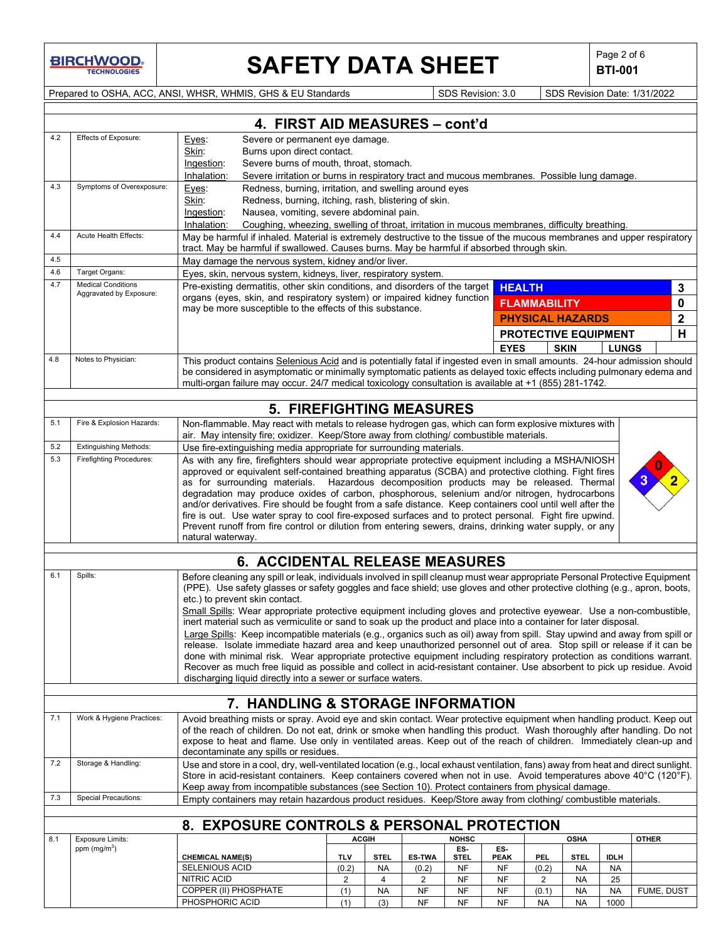# **SAFETY DATA SHEET**  $\left|\begin{array}{c} \mathsf{Page 2 of 6} \\ \mathsf{B TI-001} \end{array}\right|$

**BTI-001**

Prepared to OSHA, ACC, ANSI, WHSR, WHMIS, GHS & EU Standards Subsetsion: 3.0 SDS Revision: 3.0 SDS Revision Date: 1/31/2022

|     | 4. FIRST AID MEASURES - cont'd                       |                                                                                                                                                                                                                                                   |              |             |               |                   |                    |                             |                   |              |              |
|-----|------------------------------------------------------|---------------------------------------------------------------------------------------------------------------------------------------------------------------------------------------------------------------------------------------------------|--------------|-------------|---------------|-------------------|--------------------|-----------------------------|-------------------|--------------|--------------|
| 4.2 | Effects of Exposure:                                 | Severe or permanent eye damage.<br>Eyes:                                                                                                                                                                                                          |              |             |               |                   |                    |                             |                   |              |              |
|     |                                                      | Burns upon direct contact.<br>Skin:<br>Ingestion:<br>Severe burns of mouth, throat, stomach.                                                                                                                                                      |              |             |               |                   |                    |                             |                   |              |              |
|     |                                                      | Inhalation:<br>Severe irritation or burns in respiratory tract and mucous membranes. Possible lung damage.                                                                                                                                        |              |             |               |                   |                    |                             |                   |              |              |
| 4.3 | Symptoms of Overexposure:                            | Redness, burning, irritation, and swelling around eyes<br>Eyes:                                                                                                                                                                                   |              |             |               |                   |                    |                             |                   |              |              |
|     |                                                      | Skin:<br>Redness, burning, itching, rash, blistering of skin.                                                                                                                                                                                     |              |             |               |                   |                    |                             |                   |              |              |
|     |                                                      | Nausea, vomiting, severe abdominal pain.<br>Ingestion:                                                                                                                                                                                            |              |             |               |                   |                    |                             |                   |              |              |
|     |                                                      | Inhalation:<br>Coughing, wheezing, swelling of throat, irritation in mucous membranes, difficulty breathing.                                                                                                                                      |              |             |               |                   |                    |                             |                   |              |              |
| 4.4 | Acute Health Effects:                                | May be harmful if inhaled. Material is extremely destructive to the tissue of the mucous membranes and upper respiratory<br>tract. May be harmful if swallowed. Causes burns. May be harmful if absorbed through skin.                            |              |             |               |                   |                    |                             |                   |              |              |
| 4.5 |                                                      | May damage the nervous system, kidney and/or liver.                                                                                                                                                                                               |              |             |               |                   |                    |                             |                   |              |              |
| 4.6 | Target Organs:                                       | Eyes, skin, nervous system, kidneys, liver, respiratory system.                                                                                                                                                                                   |              |             |               |                   |                    |                             |                   |              |              |
| 4.7 | <b>Medical Conditions</b><br>Aggravated by Exposure: | Pre-existing dermatitis, other skin conditions, and disorders of the target                                                                                                                                                                       |              |             |               |                   | <b>HEALTH</b>      |                             |                   |              | 3            |
|     |                                                      | organs (eyes, skin, and respiratory system) or impaired kidney function<br>may be more susceptible to the effects of this substance.                                                                                                              |              |             |               |                   |                    | <b>FLAMMABILITY</b>         |                   |              | 0            |
|     |                                                      |                                                                                                                                                                                                                                                   |              |             |               |                   |                    | <b>PHYSICAL HAZARDS</b>     |                   |              | $\mathbf 2$  |
|     |                                                      |                                                                                                                                                                                                                                                   |              |             |               |                   |                    | <b>PROTECTIVE EQUIPMENT</b> |                   |              | н            |
|     |                                                      |                                                                                                                                                                                                                                                   |              |             |               |                   | <b>EYES</b>        |                             | <b>SKIN</b>       | <b>LUNGS</b> |              |
| 4.8 | Notes to Physician:                                  | This product contains Selenious Acid and is potentially fatal if ingested even in small amounts. 24-hour admission should                                                                                                                         |              |             |               |                   |                    |                             |                   |              |              |
|     |                                                      | be considered in asymptomatic or minimally symptomatic patients as delayed toxic effects including pulmonary edema and                                                                                                                            |              |             |               |                   |                    |                             |                   |              |              |
|     |                                                      | multi-organ failure may occur. 24/7 medical toxicology consultation is available at +1 (855) 281-1742.                                                                                                                                            |              |             |               |                   |                    |                             |                   |              |              |
|     |                                                      | <b>5. FIREFIGHTING MEASURES</b>                                                                                                                                                                                                                   |              |             |               |                   |                    |                             |                   |              |              |
| 5.1 | Fire & Explosion Hazards:                            | Non-flammable. May react with metals to release hydrogen gas, which can form explosive mixtures with                                                                                                                                              |              |             |               |                   |                    |                             |                   |              |              |
| 5.2 | <b>Extinguishing Methods:</b>                        | air. May intensity fire; oxidizer. Keep/Store away from clothing/ combustible materials.<br>Use fire-extinguishing media appropriate for surrounding materials.                                                                                   |              |             |               |                   |                    |                             |                   |              |              |
| 5.3 | <b>Firefighting Procedures:</b>                      | As with any fire, firefighters should wear appropriate protective equipment including a MSHA/NIOSH                                                                                                                                                |              |             |               |                   |                    |                             |                   |              |              |
|     |                                                      | approved or equivalent self-contained breathing apparatus (SCBA) and protective clothing. Fight fires                                                                                                                                             |              |             |               |                   |                    |                             |                   |              |              |
|     |                                                      | as for surrounding materials. Hazardous decomposition products may be released. Thermal                                                                                                                                                           |              |             |               |                   |                    |                             |                   |              |              |
|     |                                                      | degradation may produce oxides of carbon, phosphorous, selenium and/or nitrogen, hydrocarbons<br>and/or derivatives. Fire should be fought from a safe distance. Keep containers cool until well after the                                        |              |             |               |                   |                    |                             |                   |              |              |
|     |                                                      | fire is out. Use water spray to cool fire-exposed surfaces and to protect personal. Fight fire upwind.                                                                                                                                            |              |             |               |                   |                    |                             |                   |              |              |
|     |                                                      | Prevent runoff from fire control or dilution from entering sewers, drains, drinking water supply, or any                                                                                                                                          |              |             |               |                   |                    |                             |                   |              |              |
|     |                                                      | natural waterway.                                                                                                                                                                                                                                 |              |             |               |                   |                    |                             |                   |              |              |
|     |                                                      | 6. ACCIDENTAL RELEASE MEASURES                                                                                                                                                                                                                    |              |             |               |                   |                    |                             |                   |              |              |
| 6.1 | Spills:                                              | Before cleaning any spill or leak, individuals involved in spill cleanup must wear appropriate Personal Protective Equipment                                                                                                                      |              |             |               |                   |                    |                             |                   |              |              |
|     |                                                      | (PPE). Use safety glasses or safety goggles and face shield; use gloves and other protective clothing (e.g., apron, boots,                                                                                                                        |              |             |               |                   |                    |                             |                   |              |              |
|     |                                                      | etc.) to prevent skin contact.                                                                                                                                                                                                                    |              |             |               |                   |                    |                             |                   |              |              |
|     |                                                      | Small Spills: Wear appropriate protective equipment including gloves and protective eyewear. Use a non-combustible,<br>inert material such as vermiculite or sand to soak up the product and place into a container for later disposal.           |              |             |               |                   |                    |                             |                   |              |              |
|     |                                                      | Large Spills: Keep incompatible materials (e.g., organics such as oil) away from spill. Stay upwind and away from spill or                                                                                                                        |              |             |               |                   |                    |                             |                   |              |              |
|     |                                                      | release. Isolate immediate hazard area and keep unauthorized personnel out of area. Stop spill or release if it can be                                                                                                                            |              |             |               |                   |                    |                             |                   |              |              |
|     |                                                      | done with minimal risk. Wear appropriate protective equipment including respiratory protection as conditions warrant.<br>Recover as much free liquid as possible and collect in acid-resistant container. Use absorbent to pick up residue. Avoid |              |             |               |                   |                    |                             |                   |              |              |
|     |                                                      | discharging liquid directly into a sewer or surface waters.                                                                                                                                                                                       |              |             |               |                   |                    |                             |                   |              |              |
|     |                                                      |                                                                                                                                                                                                                                                   |              |             |               |                   |                    |                             |                   |              |              |
|     |                                                      | 7. HANDLING & STORAGE INFORMATION                                                                                                                                                                                                                 |              |             |               |                   |                    |                             |                   |              |              |
| 7.1 | Work & Hygiene Practices:                            | Avoid breathing mists or spray. Avoid eye and skin contact. Wear protective equipment when handling product. Keep out                                                                                                                             |              |             |               |                   |                    |                             |                   |              |              |
|     |                                                      | of the reach of children. Do not eat, drink or smoke when handling this product. Wash thoroughly after handling. Do not                                                                                                                           |              |             |               |                   |                    |                             |                   |              |              |
|     |                                                      | expose to heat and flame. Use only in ventilated areas. Keep out of the reach of children. Immediately clean-up and<br>decontaminate any spills or residues.                                                                                      |              |             |               |                   |                    |                             |                   |              |              |
| 7.2 | Storage & Handling:                                  | Use and store in a cool, dry, well-ventilated location (e.g., local exhaust ventilation, fans) away from heat and direct sunlight.                                                                                                                |              |             |               |                   |                    |                             |                   |              |              |
|     |                                                      | Store in acid-resistant containers. Keep containers covered when not in use. Avoid temperatures above 40°C (120°F).                                                                                                                               |              |             |               |                   |                    |                             |                   |              |              |
|     |                                                      | Keep away from incompatible substances (see Section 10). Protect containers from physical damage.                                                                                                                                                 |              |             |               |                   |                    |                             |                   |              |              |
| 7.3 | <b>Special Precautions:</b>                          | Empty containers may retain hazardous product residues. Keep/Store away from clothing/ combustible materials.                                                                                                                                     |              |             |               |                   |                    |                             |                   |              |              |
|     |                                                      | 8. EXPOSURE CONTROLS & PERSONAL PROTECTION                                                                                                                                                                                                        |              |             |               |                   |                    |                             |                   |              |              |
| 8.1 | Exposure Limits:                                     |                                                                                                                                                                                                                                                   | <b>ACGIH</b> |             |               | <b>NOHSC</b>      |                    |                             | <b>OSHA</b>       |              | <b>OTHER</b> |
|     | ppm $(mg/m3)$                                        |                                                                                                                                                                                                                                                   | <b>TLV</b>   | <b>STEL</b> | <b>ES-TWA</b> | ES-               | ES-<br><b>PEAK</b> |                             |                   | <b>IDLH</b>  |              |
|     |                                                      | <b>CHEMICAL NAME(S)</b><br><b>SELENIOUS ACID</b>                                                                                                                                                                                                  | (0.2)        | NA          | (0.2)         | <b>STEL</b><br>NF | NF                 | <b>PEL</b><br>(0.2)         | <b>STEL</b><br>NA | NA           |              |
|     |                                                      | NITRIC ACID                                                                                                                                                                                                                                       | 2            | 4           | 2             | NF                | NF                 | $\overline{2}$              | <b>NA</b>         | 25           |              |
|     |                                                      | COPPER (II) PHOSPHATE                                                                                                                                                                                                                             | (1)          | <b>NA</b>   | NF            | NF                | <b>NF</b>          | (0.1)                       | <b>NA</b>         | <b>NA</b>    | FUME, DUST   |
|     |                                                      | PHOSPHORIC ACID                                                                                                                                                                                                                                   | (1)          | (3)         | <b>NF</b>     | NF                | <b>NF</b>          | <b>NA</b>                   | <b>NA</b>         | 1000         |              |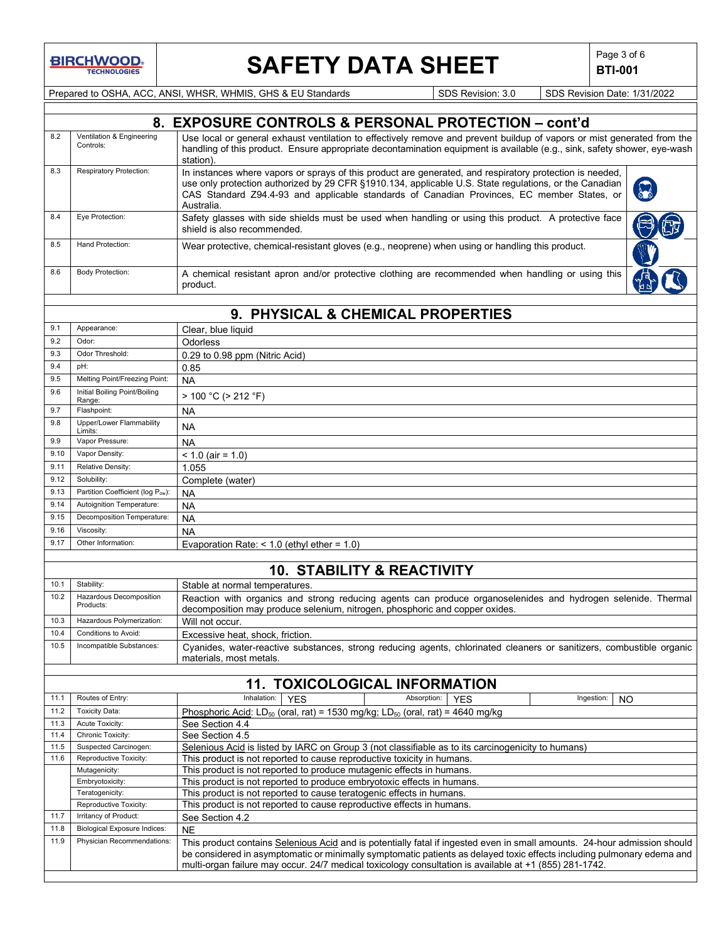# **SAFETY DATA SHEET**  $\left|\begin{array}{c} \mathsf{Page 3 of 6} \\ \mathsf{BTI-001} \end{array}\right|$

**BTI-001**

Prepared to OSHA, ACC, ANSI, WHSR, WHMIS, GHS & EU Standards SDS Revision: 3.0 SDS Revision Date: 1/31/2022

| 8.2                                          |                                                 | 8. EXPOSURE CONTROLS & PERSONAL PROTECTION - cont'd                                                                                                                                                                                                                                                                            |
|----------------------------------------------|-------------------------------------------------|--------------------------------------------------------------------------------------------------------------------------------------------------------------------------------------------------------------------------------------------------------------------------------------------------------------------------------|
|                                              | Ventilation & Engineering<br>Controls:          | Use local or general exhaust ventilation to effectively remove and prevent buildup of vapors or mist generated from the<br>handling of this product. Ensure appropriate decontamination equipment is available (e.g., sink, safety shower, eye-wash<br>station).                                                               |
| 8.3                                          | <b>Respiratory Protection:</b>                  | In instances where vapors or sprays of this product are generated, and respiratory protection is needed,<br>use only protection authorized by 29 CFR §1910.134, applicable U.S. State regulations, or the Canadian<br>CAS Standard Z94.4-93 and applicable standards of Canadian Provinces, EC member States, or<br>Australia. |
| 8.4                                          | Eye Protection:                                 | Safety glasses with side shields must be used when handling or using this product. A protective face<br>shield is also recommended.                                                                                                                                                                                            |
| 8.5                                          | Hand Protection:                                | Wear protective, chemical-resistant gloves (e.g., neoprene) when using or handling this product.                                                                                                                                                                                                                               |
| 8.6                                          | <b>Body Protection:</b>                         | A chemical resistant apron and/or protective clothing are recommended when handling or using this<br>product.                                                                                                                                                                                                                  |
|                                              |                                                 |                                                                                                                                                                                                                                                                                                                                |
|                                              |                                                 | 9. PHYSICAL & CHEMICAL PROPERTIES                                                                                                                                                                                                                                                                                              |
| 9.1                                          | Appearance:                                     | Clear, blue liquid                                                                                                                                                                                                                                                                                                             |
| 9.2                                          | Odor:                                           | Odorless                                                                                                                                                                                                                                                                                                                       |
| 9.3                                          | Odor Threshold:                                 | 0.29 to 0.98 ppm (Nitric Acid)                                                                                                                                                                                                                                                                                                 |
| 9.4                                          | pH:                                             | 0.85                                                                                                                                                                                                                                                                                                                           |
| 9.5                                          | Melting Point/Freezing Point:                   | <b>NA</b>                                                                                                                                                                                                                                                                                                                      |
| 9.6                                          | Initial Boiling Point/Boiling<br>Range:         | $> 100 °C$ ( $> 212 °F$ )                                                                                                                                                                                                                                                                                                      |
| 9.7                                          | Flashpoint:                                     | NA                                                                                                                                                                                                                                                                                                                             |
| 9.8                                          | Upper/Lower Flammability                        | <b>NA</b>                                                                                                                                                                                                                                                                                                                      |
| 9.9                                          | Limits:<br>Vapor Pressure:                      | <b>NA</b>                                                                                                                                                                                                                                                                                                                      |
| 9.10                                         | Vapor Density:                                  | $< 1.0$ (air = 1.0)                                                                                                                                                                                                                                                                                                            |
| 9.11                                         | Relative Density:                               | 1.055                                                                                                                                                                                                                                                                                                                          |
| 9.12                                         | Solubility:                                     | Complete (water)                                                                                                                                                                                                                                                                                                               |
| 9.13                                         | Partition Coefficient (log Pow):                | NA                                                                                                                                                                                                                                                                                                                             |
| 9.14                                         | Autoignition Temperature:                       | <b>NA</b>                                                                                                                                                                                                                                                                                                                      |
| 9.15                                         | Decomposition Temperature:                      | <b>NA</b>                                                                                                                                                                                                                                                                                                                      |
| 9.16                                         | Viscosity:                                      | <b>NA</b>                                                                                                                                                                                                                                                                                                                      |
| 9.17                                         | Other Information:                              | Evaporation Rate: $<$ 1.0 (ethyl ether = 1.0)                                                                                                                                                                                                                                                                                  |
|                                              |                                                 |                                                                                                                                                                                                                                                                                                                                |
|                                              |                                                 | <b>10. STABILITY &amp; REACTIVITY</b>                                                                                                                                                                                                                                                                                          |
|                                              | Stability:                                      | Stable at normal temperatures.                                                                                                                                                                                                                                                                                                 |
|                                              | Hazardous Decomposition                         |                                                                                                                                                                                                                                                                                                                                |
|                                              | Products:                                       | decomposition may produce selenium, nitrogen, phosphoric and copper oxides.                                                                                                                                                                                                                                                    |
|                                              | Hazardous Polymerization:                       | Will not occur.                                                                                                                                                                                                                                                                                                                |
|                                              | Conditions to Avoid:                            | Excessive heat, shock, friction.                                                                                                                                                                                                                                                                                               |
| 10.1<br>10.2<br>10.3<br>10.4<br>10.5         | Incompatible Substances:                        | Reaction with organics and strong reducing agents can produce organoselenides and hydrogen selenide. Thermal<br>Cyanides, water-reactive substances, strong reducing agents, chlorinated cleaners or sanitizers, combustible organic<br>materials, most metals.                                                                |
|                                              |                                                 | <b>11. TOXICOLOGICAL INFORMATION</b>                                                                                                                                                                                                                                                                                           |
|                                              | Routes of Entry:                                | Inhalation:<br><b>YES</b><br>Absorption:<br>Ingestion:<br><b>YES</b><br>NO                                                                                                                                                                                                                                                     |
|                                              | <b>Toxicity Data:</b>                           | Phosphoric Acid: LD <sub>50</sub> (oral, rat) = 1530 mg/kg; LD <sub>50</sub> (oral, rat) = 4640 mg/kg                                                                                                                                                                                                                          |
|                                              | Acute Toxicity:                                 | See Section 4.4                                                                                                                                                                                                                                                                                                                |
|                                              | Chronic Toxicity:                               | See Section 4.5                                                                                                                                                                                                                                                                                                                |
|                                              | Suspected Carcinogen:                           | Selenious Acid is listed by IARC on Group 3 (not classifiable as to its carcinogenicity to humans)                                                                                                                                                                                                                             |
|                                              | Reproductive Toxicity:                          | This product is not reported to cause reproductive toxicity in humans.                                                                                                                                                                                                                                                         |
|                                              | Mutagenicity:                                   | This product is not reported to produce mutagenic effects in humans.                                                                                                                                                                                                                                                           |
|                                              | Embryotoxicity:                                 | This product is not reported to produce embryotoxic effects in humans.                                                                                                                                                                                                                                                         |
| 11.1<br>11.2<br>11.3<br>11.4<br>11.5<br>11.6 | Teratogenicity:                                 | This product is not reported to cause teratogenic effects in humans.                                                                                                                                                                                                                                                           |
| 11.7                                         | Reproductive Toxicity:<br>Irritancy of Product: | This product is not reported to cause reproductive effects in humans.                                                                                                                                                                                                                                                          |
| 11.8                                         | <b>Biological Exposure Indices:</b>             | See Section 4.2<br><b>NE</b>                                                                                                                                                                                                                                                                                                   |

multi-organ failure may occur. 24/7 medical toxicology consultation is available at +1 (855) 281-1742.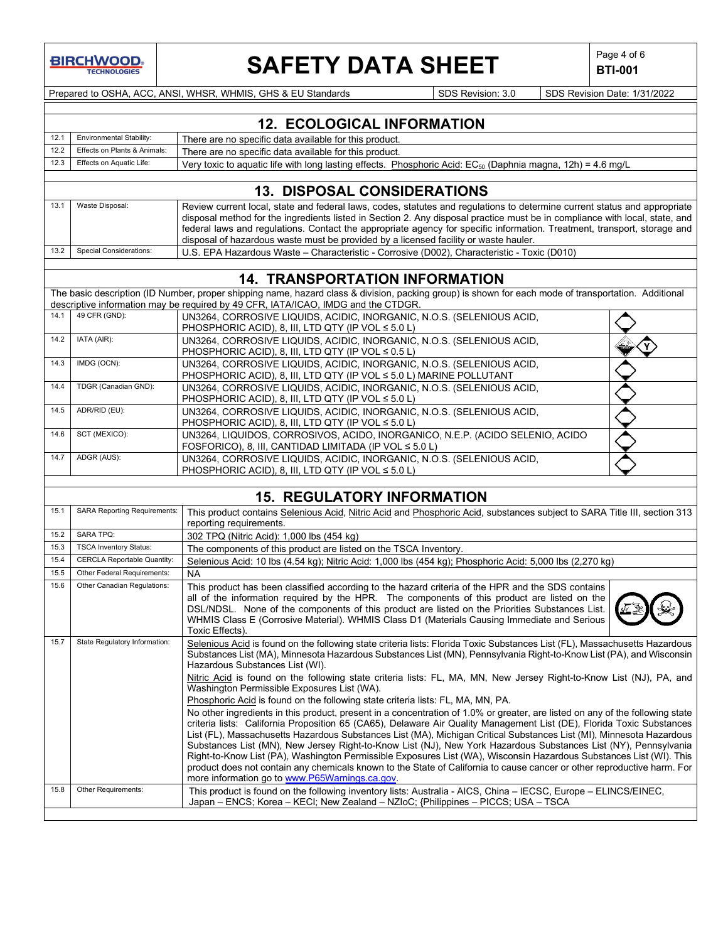**BIRCHWOOD TECHNOLOGIES** 

# **SAFETY DATA SHEET**  $\left|\begin{array}{cc} \text{Page 4 of 6} \\ \text{BTI-001} \end{array}\right|$

**BTI-001**

Prepared to OSHA, ACC, ANSI, WHSR, WHMIS, GHS & EU Standards Superinted Superinted SDS Revision: 3.0 SDS Revision Date: 1/31/2022

|      | <b>12. ECOLOGICAL INFORMATION</b> |                                                                                                                  |  |  |  |  |
|------|-----------------------------------|------------------------------------------------------------------------------------------------------------------|--|--|--|--|
| 12.1 | Environmental Stability:          | There are no specific data available for this product.                                                           |  |  |  |  |
| 12.2 | Effects on Plants & Animals:      | There are no specific data available for this product.                                                           |  |  |  |  |
| 12.3 | Effects on Aquatic Life:          | Very toxic to aquatic life with long lasting effects. Phosphoric Acid: $EC_{50}$ (Daphnia magna, 12h) = 4.6 mg/L |  |  |  |  |
|      |                                   |                                                                                                                  |  |  |  |  |

### **13. DISPOSAL CONSIDERATIONS**

| 13.1 | Waste Disposal:              | Review current local, state and federal laws, codes, statutes and regulations to determine current status and appropriate   |
|------|------------------------------|-----------------------------------------------------------------------------------------------------------------------------|
|      |                              | disposal method for the ingredients listed in Section 2. Any disposal practice must be in compliance with local, state, and |
|      |                              | federal laws and regulations. Contact the appropriate agency for specific information. Treatment, transport, storage and    |
|      |                              | disposal of hazardous waste must be provided by a licensed facility or waste hauler.                                        |
|      | 13.2 Special Considerations: | U.S. EPA Hazardous Waste – Characteristic - Corrosive (D002), Characteristic - Toxic (D010)                                 |

### **14. TRANSPORTATION INFORMATION**

|      | The basic description (ID Number, proper shipping name, hazard class & division, packing group) is shown for each mode of transportation. Additional<br>descriptive information may be required by 49 CFR, IATA/ICAO, IMDG and the CTDGR. |                                                                                                                                              |  |  |  |
|------|-------------------------------------------------------------------------------------------------------------------------------------------------------------------------------------------------------------------------------------------|----------------------------------------------------------------------------------------------------------------------------------------------|--|--|--|
| 14.1 | 49 CFR (GND):                                                                                                                                                                                                                             | UN3264, CORROSIVE LIQUIDS, ACIDIC, INORGANIC, N.O.S. (SELENIOUS ACID,<br>PHOSPHORIC ACID), 8, III, LTD QTY (IP VOL $\leq 5.0$ L)             |  |  |  |
| 14.2 | IATA (AIR):                                                                                                                                                                                                                               | UN3264, CORROSIVE LIQUIDS, ACIDIC, INORGANIC, N.O.S. (SELENIOUS ACID,<br>PHOSPHORIC ACID), 8, III, LTD QTY (IP VOL $\leq 0.5$ L)             |  |  |  |
| 14.3 | IMDG (OCN):                                                                                                                                                                                                                               | UN3264, CORROSIVE LIQUIDS, ACIDIC, INORGANIC, N.O.S. (SELENIOUS ACID,<br>PHOSPHORIC ACID), 8, III, LTD QTY (IP VOL ≤ 5.0 L) MARINE POLLUTANT |  |  |  |
| 14.4 | TDGR (Canadian GND):                                                                                                                                                                                                                      | UN3264, CORROSIVE LIQUIDS, ACIDIC, INORGANIC, N.O.S. (SELENIOUS ACID,<br>PHOSPHORIC ACID), 8, III, LTD QTY (IP VOL $\leq 5.0$ L)             |  |  |  |
| 14.5 | ADR/RID (EU):                                                                                                                                                                                                                             | UN3264, CORROSIVE LIQUIDS, ACIDIC, INORGANIC, N.O.S. (SELENIOUS ACID,<br>PHOSPHORIC ACID), 8, III, LTD QTY (IP VOL $\leq 5.0$ L)             |  |  |  |
| 14.6 | SCT (MEXICO):                                                                                                                                                                                                                             | UN3264, LIQUIDOS, CORROSIVOS, ACIDO, INORGANICO, N.E.P. (ACIDO SELENIO, ACIDO<br>FOSFORICO), 8, III, CANTIDAD LIMITADA (IP VOL $\leq 5.0$ L) |  |  |  |
| 14.7 | ADGR (AUS):                                                                                                                                                                                                                               | UN3264, CORROSIVE LIQUIDS, ACIDIC, INORGANIC, N.O.S. (SELENIOUS ACID,<br>PHOSPHORIC ACID), 8, III, LTD QTY (IP VOL $\leq 5.0$ L)             |  |  |  |

## **15. REGULATORY INFORMATION**

| 15.1 | <b>SARA Reporting Requirements:</b> | This product contains Selenious Acid, Nitric Acid and Phosphoric Acid, substances subject to SARA Title III, section 313<br>reporting requirements.                                                                                                                                                                                                                                                                                                                                                                                                                                                                                                                                                                                                                                                                                                                                                                                                                                                                                                                                                                                                                                                                                                                                                                                                    |
|------|-------------------------------------|--------------------------------------------------------------------------------------------------------------------------------------------------------------------------------------------------------------------------------------------------------------------------------------------------------------------------------------------------------------------------------------------------------------------------------------------------------------------------------------------------------------------------------------------------------------------------------------------------------------------------------------------------------------------------------------------------------------------------------------------------------------------------------------------------------------------------------------------------------------------------------------------------------------------------------------------------------------------------------------------------------------------------------------------------------------------------------------------------------------------------------------------------------------------------------------------------------------------------------------------------------------------------------------------------------------------------------------------------------|
| 15.2 | <b>SARA TPQ:</b>                    | 302 TPQ (Nitric Acid): 1,000 lbs (454 kg)                                                                                                                                                                                                                                                                                                                                                                                                                                                                                                                                                                                                                                                                                                                                                                                                                                                                                                                                                                                                                                                                                                                                                                                                                                                                                                              |
| 15.3 | <b>TSCA Inventory Status:</b>       | The components of this product are listed on the TSCA Inventory.                                                                                                                                                                                                                                                                                                                                                                                                                                                                                                                                                                                                                                                                                                                                                                                                                                                                                                                                                                                                                                                                                                                                                                                                                                                                                       |
| 15.4 | <b>CERCLA Reportable Quantity:</b>  | Selenious Acid: 10 lbs (4.54 kg); Nitric Acid: 1,000 lbs (454 kg); Phosphoric Acid: 5,000 lbs (2,270 kg)                                                                                                                                                                                                                                                                                                                                                                                                                                                                                                                                                                                                                                                                                                                                                                                                                                                                                                                                                                                                                                                                                                                                                                                                                                               |
| 15.5 | Other Federal Requirements:         | <b>NA</b>                                                                                                                                                                                                                                                                                                                                                                                                                                                                                                                                                                                                                                                                                                                                                                                                                                                                                                                                                                                                                                                                                                                                                                                                                                                                                                                                              |
| 15.6 | Other Canadian Regulations:         | This product has been classified according to the hazard criteria of the HPR and the SDS contains<br>all of the information required by the HPR. The components of this product are listed on the<br>DSL/NDSL. None of the components of this product are listed on the Priorities Substances List.<br>WHMIS Class E (Corrosive Material). WHMIS Class D1 (Materials Causing Immediate and Serious<br>Toxic Effects).                                                                                                                                                                                                                                                                                                                                                                                                                                                                                                                                                                                                                                                                                                                                                                                                                                                                                                                                  |
| 15.7 | State Regulatory Information:       | Selenious Acid is found on the following state criteria lists: Florida Toxic Substances List (FL), Massachusetts Hazardous<br>Substances List (MA), Minnesota Hazardous Substances List (MN), Pennsylvania Right-to-Know List (PA), and Wisconsin<br>Hazardous Substances List (WI).<br>Nitric Acid is found on the following state criteria lists: FL, MA, MN, New Jersey Right-to-Know List (NJ), PA, and<br>Washington Permissible Exposures List (WA).<br>Phosphoric Acid is found on the following state criteria lists: FL, MA, MN, PA.<br>No other ingredients in this product, present in a concentration of 1.0% or greater, are listed on any of the following state<br>criteria lists: California Proposition 65 (CA65), Delaware Air Quality Management List (DE), Florida Toxic Substances<br>List (FL), Massachusetts Hazardous Substances List (MA), Michigan Critical Substances List (MI), Minnesota Hazardous<br>Substances List (MN), New Jersey Right-to-Know List (NJ), New York Hazardous Substances List (NY), Pennsylvania<br>Right-to-Know List (PA), Washington Permissible Exposures List (WA), Wisconsin Hazardous Substances List (WI). This<br>product does not contain any chemicals known to the State of California to cause cancer or other reproductive harm. For<br>more information go to www.P65Warnings.ca.gov. |
| 15.8 | Other Requirements:                 | This product is found on the following inventory lists: Australia - AICS, China - IECSC, Europe - ELINCS/EINEC,<br>Japan – ENCS; Korea – KECI; New Zealand – NZIoC; {Philippines – PICCS; USA – TSCA                                                                                                                                                                                                                                                                                                                                                                                                                                                                                                                                                                                                                                                                                                                                                                                                                                                                                                                                                                                                                                                                                                                                                   |
|      |                                     |                                                                                                                                                                                                                                                                                                                                                                                                                                                                                                                                                                                                                                                                                                                                                                                                                                                                                                                                                                                                                                                                                                                                                                                                                                                                                                                                                        |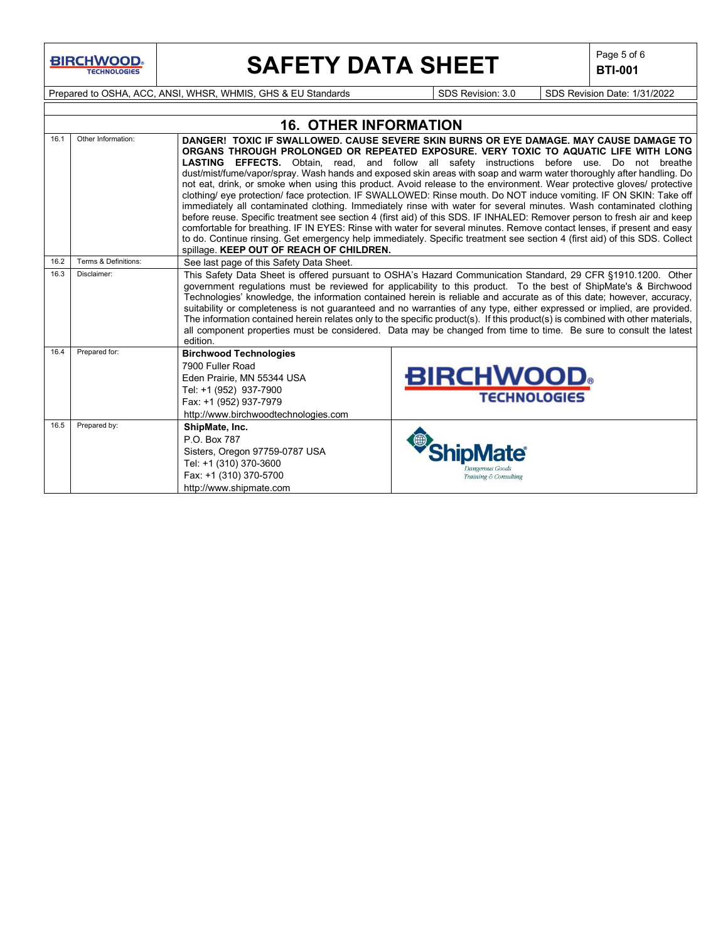# **SAFETY DATA SHEET**  $\left|\begin{array}{c} \text{Page 5 of 6} \\ \text{BIT-001} \end{array}\right|$

**BTI-001**

Prepared to OSHA, ACC, ANSI, WHSR, WHMIS, GHS & EU Standards Superinted SDS Revision: 3.0 SDS Revision Date: 1/31/2022

|      |                      | <b>16. OTHER INFORMATION</b>                                                                                                                                                                                                                                                                                                                                                                                                                                                                                                                                                                                                                                                                                                                             |                                                                                                                                                                                                                                                                                                                                                                                                                                                                                                                                                                                                                                                                                                                                                                                                                                                                                                                                                                                                                                                                                                                                                                   |  |  |  |
|------|----------------------|----------------------------------------------------------------------------------------------------------------------------------------------------------------------------------------------------------------------------------------------------------------------------------------------------------------------------------------------------------------------------------------------------------------------------------------------------------------------------------------------------------------------------------------------------------------------------------------------------------------------------------------------------------------------------------------------------------------------------------------------------------|-------------------------------------------------------------------------------------------------------------------------------------------------------------------------------------------------------------------------------------------------------------------------------------------------------------------------------------------------------------------------------------------------------------------------------------------------------------------------------------------------------------------------------------------------------------------------------------------------------------------------------------------------------------------------------------------------------------------------------------------------------------------------------------------------------------------------------------------------------------------------------------------------------------------------------------------------------------------------------------------------------------------------------------------------------------------------------------------------------------------------------------------------------------------|--|--|--|
| 16.1 | Other Information:   | spillage. KEEP OUT OF REACH OF CHILDREN.                                                                                                                                                                                                                                                                                                                                                                                                                                                                                                                                                                                                                                                                                                                 | DANGER! TOXIC IF SWALLOWED, CAUSE SEVERE SKIN BURNS OR EYE DAMAGE, MAY CAUSE DAMAGE TO<br>ORGANS THROUGH PROLONGED OR REPEATED EXPOSURE. VERY TOXIC TO AQUATIC LIFE WITH LONG<br>LASTING EFFECTS. Obtain, read, and follow all safety instructions before use. Do not breathe<br>dust/mist/fume/vapor/spray. Wash hands and exposed skin areas with soap and warm water thoroughly after handling. Do<br>not eat, drink, or smoke when using this product. Avoid release to the environment. Wear protective gloves/ protective<br>clothing/ eye protection/ face protection. IF SWALLOWED: Rinse mouth. Do NOT induce vomiting. IF ON SKIN: Take off<br>immediately all contaminated clothing. Immediately rinse with water for several minutes. Wash contaminated clothing<br>before reuse. Specific treatment see section 4 (first aid) of this SDS. IF INHALED: Remover person to fresh air and keep<br>comfortable for breathing. IF IN EYES: Rinse with water for several minutes. Remove contact lenses, if present and easy<br>to do. Continue rinsing. Get emergency help immediately. Specific treatment see section 4 (first aid) of this SDS. Collect |  |  |  |
| 16.2 | Terms & Definitions: | See last page of this Safety Data Sheet.                                                                                                                                                                                                                                                                                                                                                                                                                                                                                                                                                                                                                                                                                                                 |                                                                                                                                                                                                                                                                                                                                                                                                                                                                                                                                                                                                                                                                                                                                                                                                                                                                                                                                                                                                                                                                                                                                                                   |  |  |  |
| 16.3 | Disclaimer:          | This Safety Data Sheet is offered pursuant to OSHA's Hazard Communication Standard, 29 CFR §1910.1200. Other<br>government regulations must be reviewed for applicability to this product. To the best of ShipMate's & Birchwood<br>Technologies' knowledge, the information contained herein is reliable and accurate as of this date; however, accuracy,<br>suitability or completeness is not guaranteed and no warranties of any type, either expressed or implied, are provided.<br>The information contained herein relates only to the specific product(s). If this product(s) is combined with other materials,<br>all component properties must be considered. Data may be changed from time to time. Be sure to consult the latest<br>edition. |                                                                                                                                                                                                                                                                                                                                                                                                                                                                                                                                                                                                                                                                                                                                                                                                                                                                                                                                                                                                                                                                                                                                                                   |  |  |  |
| 16.4 | Prepared for:        | <b>Birchwood Technologies</b><br>7900 Fuller Road<br>Eden Prairie, MN 55344 USA<br>Tel: +1 (952) 937-7900<br>Fax: +1 (952) 937-7979<br>http://www.birchwoodtechnologies.com                                                                                                                                                                                                                                                                                                                                                                                                                                                                                                                                                                              | <b>BIRCHWOOD</b><br><b>TECHNOLOGIES</b>                                                                                                                                                                                                                                                                                                                                                                                                                                                                                                                                                                                                                                                                                                                                                                                                                                                                                                                                                                                                                                                                                                                           |  |  |  |
| 16.5 | Prepared by:         | ShipMate, Inc.<br>P.O. Box 787<br>Sisters, Oregon 97759-0787 USA<br>Tel: +1 (310) 370-3600<br>Fax: +1 (310) 370-5700<br>http://www.shipmate.com                                                                                                                                                                                                                                                                                                                                                                                                                                                                                                                                                                                                          | )angerous Goods<br>Training & Consulting                                                                                                                                                                                                                                                                                                                                                                                                                                                                                                                                                                                                                                                                                                                                                                                                                                                                                                                                                                                                                                                                                                                          |  |  |  |